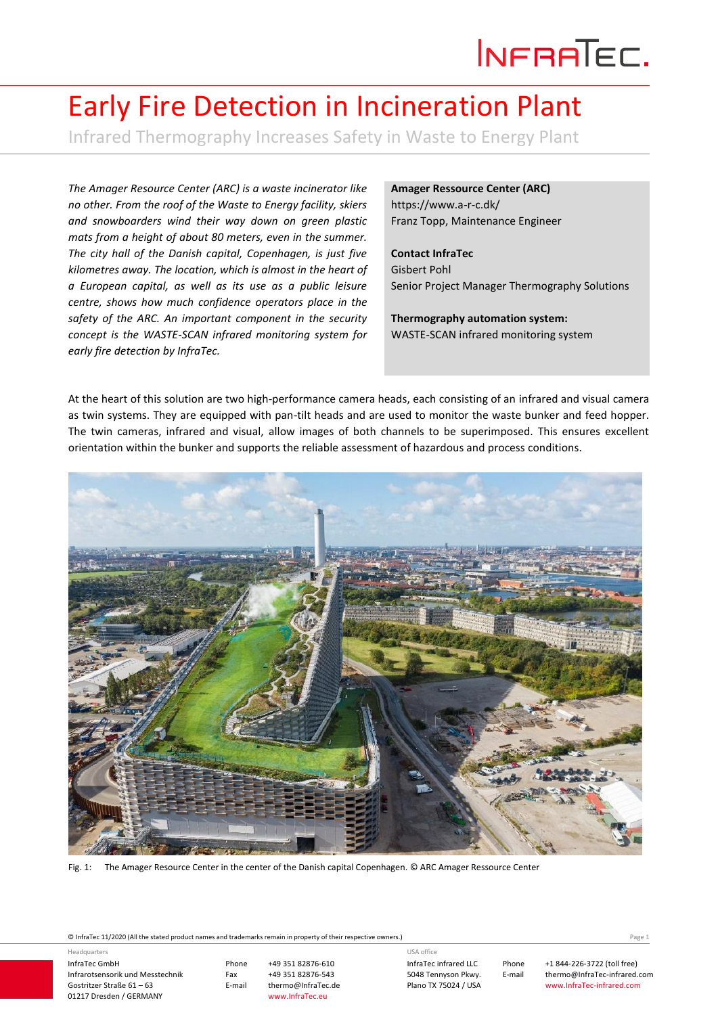# INFRATEC.

## Early Fire Detection in Incineration Plant

Infrared Thermography Increases Safety in Waste to Energy Plant

*The Amager Resource Center (ARC) is a waste incinerator like no other. From the roof of the Waste to Energy facility, skiers and snowboarders wind their way down on green plastic mats from a height of about 80 meters, even in the summer. The city hall of the Danish capital, Copenhagen, is just five kilometres away. The location, which is almost in the heart of a European capital, as well as its use as a public leisure centre, shows how much confidence operators place in the safety of the ARC. An important component in the security concept is the WASTE-SCAN infrared monitoring system for early fire detection by InfraTec.*

**Amager Ressource Center (ARC)** https://www.a-r-c.dk/ Franz Topp, Maintenance Engineer

**Contact InfraTec** Gisbert Pohl Senior Project Manager Thermography Solutions

**Thermography automation system:**  WASTE-SCAN infrared monitoring system

At the heart of this solution are two high-performance camera heads, each consisting of an infrared and visual camera as twin systems. They are equipped with pan-tilt heads and are used to monitor the waste bunker and feed hopper. The twin cameras, infrared and visual, allow images of both channels to be superimposed. This ensures excellent orientation within the bunker and supports the reliable assessment of hazardous and process conditions.



Fig. 1: The Amager Resource Center in the center of the Danish capital Copenhagen. © ARC Amager Ressource Center

© InfraTec 11/2020 (All the stated product names and trademarks remain in property of their respective owners.) Page **1**

InfraTec GmbH Infrarotsensorik und Messtechnik Gostritzer Straße 61 – 63 01217 Dresden / GERMANY Headquarters

Phone +49 351 82876-610 Fax +49 351 82876-543<br>E-mail thermo@InfraTec.d thermo@InfraTec.de www.InfraTec.eu

InfraTec infrared LLC 5048 Tennyson Pkwy. Plano TX 75024 / USA USA office

Phone +1 844-226-3722 (toll free) E-mail thermo@InfraTec-infrared.com www.InfraTec-infrared.com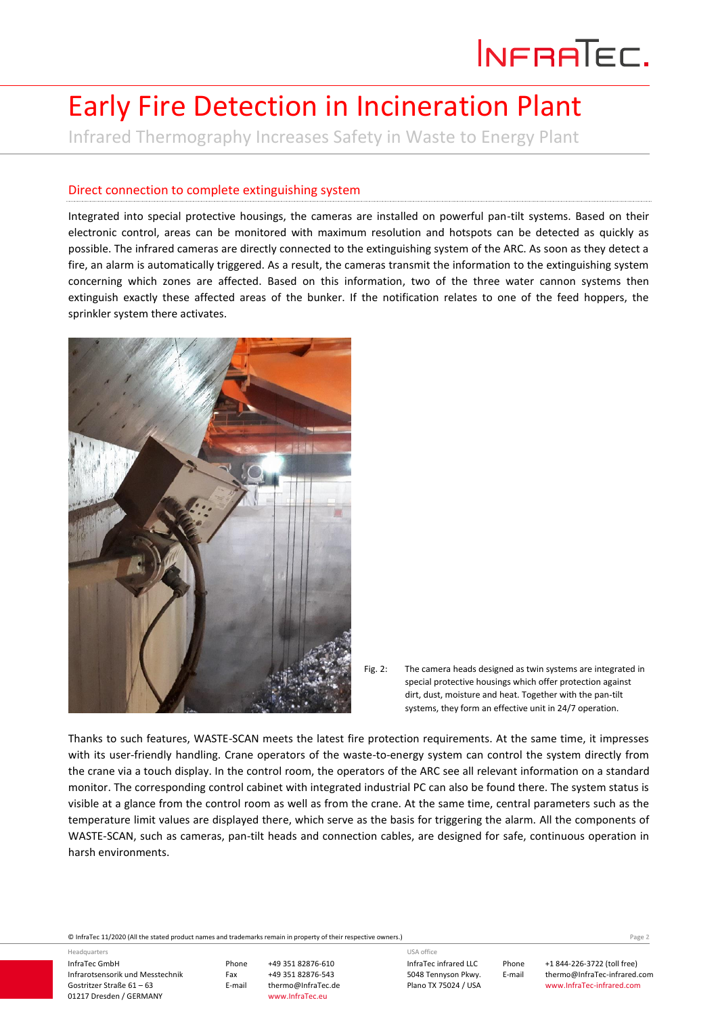## Early Fire Detection in Incineration Plant

Infrared Thermography Increases Safety in Waste to Energy Plant

#### Direct connection to complete extinguishing system

Integrated into special protective housings, the cameras are installed on powerful pan-tilt systems. Based on their electronic control, areas can be monitored with maximum resolution and hotspots can be detected as quickly as possible. The infrared cameras are directly connected to the extinguishing system of the ARC. As soon as they detect a fire, an alarm is automatically triggered. As a result, the cameras transmit the information to the extinguishing system concerning which zones are affected. Based on this information, two of the three water cannon systems then extinguish exactly these affected areas of the bunker. If the notification relates to one of the feed hoppers, the sprinkler system there activates.





Thanks to such features, WASTE-SCAN meets the latest fire protection requirements. At the same time, it impresses with its user-friendly handling. Crane operators of the waste-to-energy system can control the system directly from the crane via a touch display. In the control room, the operators of the ARC see all relevant information on a standard monitor. The corresponding control cabinet with integrated industrial PC can also be found there. The system status is visible at a glance from the control room as well as from the crane. At the same time, central parameters such as the temperature limit values are displayed there, which serve as the basis for triggering the alarm. All the components of WASTE-SCAN, such as cameras, pan-tilt heads and connection cables, are designed for safe, continuous operation in harsh environments.

© InfraTec 11/2020 (All the stated product names and trademarks remain in property of their respective owners.) Page **2**

InfraTec GmbH Infrarotsensorik und Messtechnik Gostritzer Straße 61 – 63 01217 Dresden / GERMANY

Headquarters

Phone +49 351 82876-610 Fax +49 351 82876-543<br>E-mail thermo@InfraTec.d thermo@InfraTec.de www.InfraTec.eu

InfraTec infrared LLC 5048 Tennyson Pkwy. Plano TX 75024 / USA USA office

Phone +1 844-226-3722 (toll free) E-mail thermo@InfraTec-infrared.com www.InfraTec-infrared.com